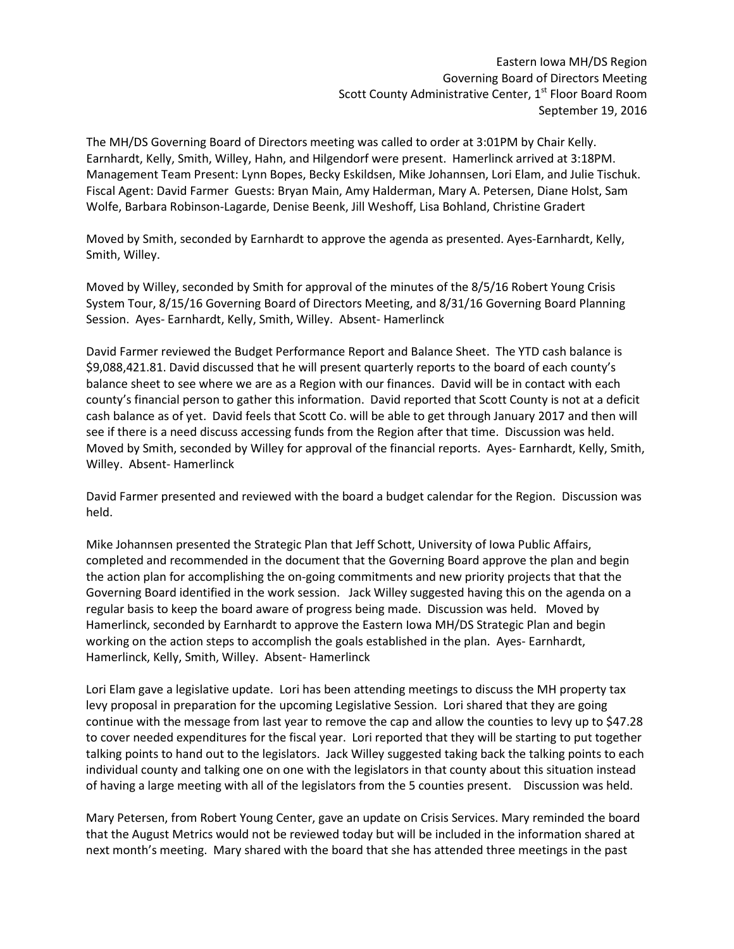Eastern Iowa MH/DS Region Governing Board of Directors Meeting Scott County Administrative Center, 1<sup>st</sup> Floor Board Room September 19, 2016

The MH/DS Governing Board of Directors meeting was called to order at 3:01PM by Chair Kelly. Earnhardt, Kelly, Smith, Willey, Hahn, and Hilgendorf were present. Hamerlinck arrived at 3:18PM. Management Team Present: Lynn Bopes, Becky Eskildsen, Mike Johannsen, Lori Elam, and Julie Tischuk. Fiscal Agent: David Farmer Guests: Bryan Main, Amy Halderman, Mary A. Petersen, Diane Holst, Sam Wolfe, Barbara Robinson-Lagarde, Denise Beenk, Jill Weshoff, Lisa Bohland, Christine Gradert

Moved by Smith, seconded by Earnhardt to approve the agenda as presented. Ayes-Earnhardt, Kelly, Smith, Willey.

Moved by Willey, seconded by Smith for approval of the minutes of the 8/5/16 Robert Young Crisis System Tour, 8/15/16 Governing Board of Directors Meeting, and 8/31/16 Governing Board Planning Session. Ayes- Earnhardt, Kelly, Smith, Willey. Absent- Hamerlinck

David Farmer reviewed the Budget Performance Report and Balance Sheet. The YTD cash balance is \$9,088,421.81. David discussed that he will present quarterly reports to the board of each county's balance sheet to see where we are as a Region with our finances. David will be in contact with each county's financial person to gather this information. David reported that Scott County is not at a deficit cash balance as of yet. David feels that Scott Co. will be able to get through January 2017 and then will see if there is a need discuss accessing funds from the Region after that time. Discussion was held. Moved by Smith, seconded by Willey for approval of the financial reports. Ayes- Earnhardt, Kelly, Smith, Willey. Absent- Hamerlinck

David Farmer presented and reviewed with the board a budget calendar for the Region. Discussion was held.

Mike Johannsen presented the Strategic Plan that Jeff Schott, University of Iowa Public Affairs, completed and recommended in the document that the Governing Board approve the plan and begin the action plan for accomplishing the on-going commitments and new priority projects that that the Governing Board identified in the work session. Jack Willey suggested having this on the agenda on a regular basis to keep the board aware of progress being made. Discussion was held. Moved by Hamerlinck, seconded by Earnhardt to approve the Eastern Iowa MH/DS Strategic Plan and begin working on the action steps to accomplish the goals established in the plan. Ayes- Earnhardt, Hamerlinck, Kelly, Smith, Willey. Absent- Hamerlinck

Lori Elam gave a legislative update. Lori has been attending meetings to discuss the MH property tax levy proposal in preparation for the upcoming Legislative Session. Lori shared that they are going continue with the message from last year to remove the cap and allow the counties to levy up to \$47.28 to cover needed expenditures for the fiscal year. Lori reported that they will be starting to put together talking points to hand out to the legislators. Jack Willey suggested taking back the talking points to each individual county and talking one on one with the legislators in that county about this situation instead of having a large meeting with all of the legislators from the 5 counties present. Discussion was held.

Mary Petersen, from Robert Young Center, gave an update on Crisis Services. Mary reminded the board that the August Metrics would not be reviewed today but will be included in the information shared at next month's meeting. Mary shared with the board that she has attended three meetings in the past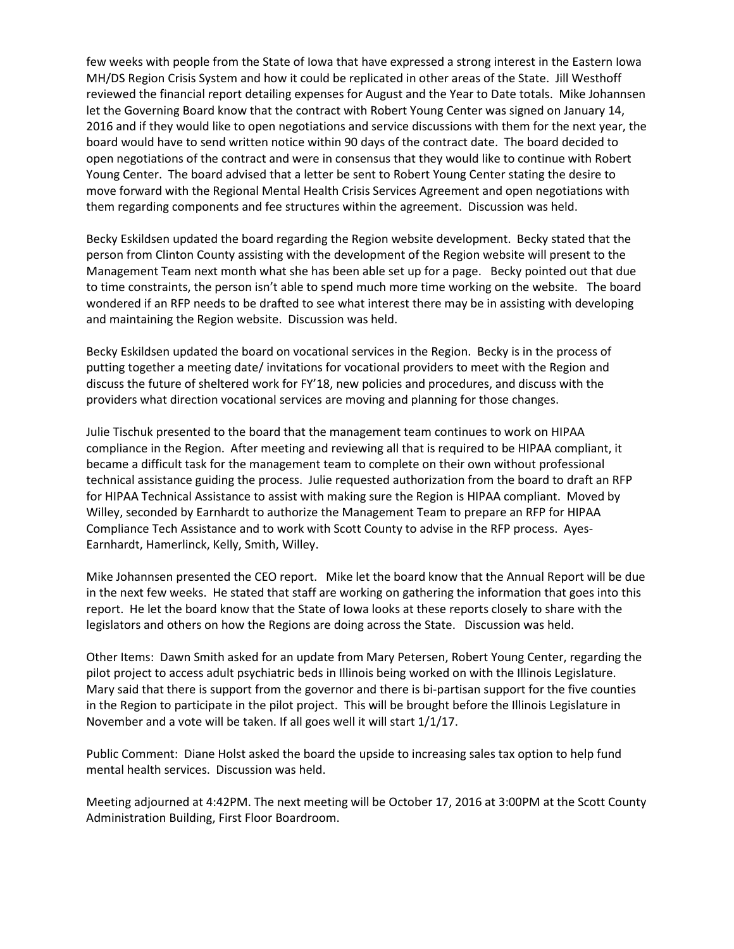few weeks with people from the State of Iowa that have expressed a strong interest in the Eastern Iowa MH/DS Region Crisis System and how it could be replicated in other areas of the State. Jill Westhoff reviewed the financial report detailing expenses for August and the Year to Date totals. Mike Johannsen let the Governing Board know that the contract with Robert Young Center was signed on January 14, 2016 and if they would like to open negotiations and service discussions with them for the next year, the board would have to send written notice within 90 days of the contract date. The board decided to open negotiations of the contract and were in consensus that they would like to continue with Robert Young Center. The board advised that a letter be sent to Robert Young Center stating the desire to move forward with the Regional Mental Health Crisis Services Agreement and open negotiations with them regarding components and fee structures within the agreement. Discussion was held.

Becky Eskildsen updated the board regarding the Region website development. Becky stated that the person from Clinton County assisting with the development of the Region website will present to the Management Team next month what she has been able set up for a page. Becky pointed out that due to time constraints, the person isn't able to spend much more time working on the website. The board wondered if an RFP needs to be drafted to see what interest there may be in assisting with developing and maintaining the Region website. Discussion was held.

Becky Eskildsen updated the board on vocational services in the Region. Becky is in the process of putting together a meeting date/ invitations for vocational providers to meet with the Region and discuss the future of sheltered work for FY'18, new policies and procedures, and discuss with the providers what direction vocational services are moving and planning for those changes.

Julie Tischuk presented to the board that the management team continues to work on HIPAA compliance in the Region. After meeting and reviewing all that is required to be HIPAA compliant, it became a difficult task for the management team to complete on their own without professional technical assistance guiding the process. Julie requested authorization from the board to draft an RFP for HIPAA Technical Assistance to assist with making sure the Region is HIPAA compliant. Moved by Willey, seconded by Earnhardt to authorize the Management Team to prepare an RFP for HIPAA Compliance Tech Assistance and to work with Scott County to advise in the RFP process. Ayes-Earnhardt, Hamerlinck, Kelly, Smith, Willey.

Mike Johannsen presented the CEO report. Mike let the board know that the Annual Report will be due in the next few weeks. He stated that staff are working on gathering the information that goes into this report. He let the board know that the State of Iowa looks at these reports closely to share with the legislators and others on how the Regions are doing across the State. Discussion was held.

Other Items: Dawn Smith asked for an update from Mary Petersen, Robert Young Center, regarding the pilot project to access adult psychiatric beds in Illinois being worked on with the Illinois Legislature. Mary said that there is support from the governor and there is bi-partisan support for the five counties in the Region to participate in the pilot project. This will be brought before the Illinois Legislature in November and a vote will be taken. If all goes well it will start 1/1/17.

Public Comment: Diane Holst asked the board the upside to increasing sales tax option to help fund mental health services. Discussion was held.

Meeting adjourned at 4:42PM. The next meeting will be October 17, 2016 at 3:00PM at the Scott County Administration Building, First Floor Boardroom.